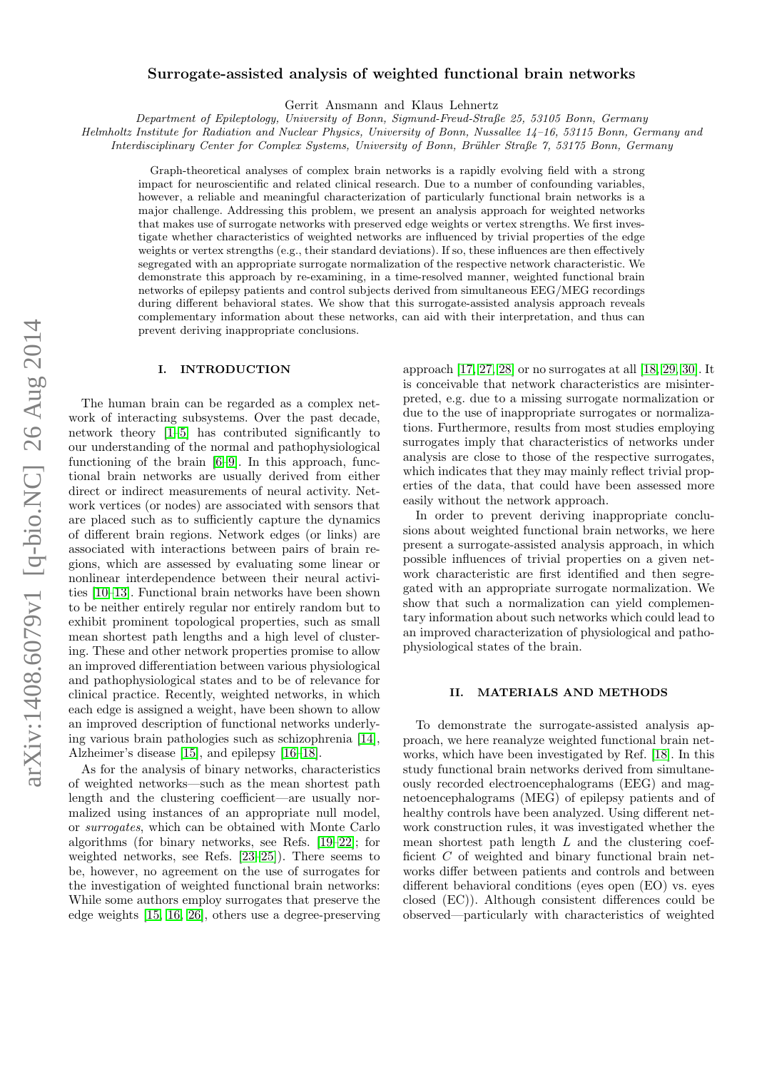# arXiv:1408.6079v1 [q-bio.NC] 26 Aug 2014 arXiv:1408.6079v1 [q-bio.NC] 26 Aug 2014

# Surrogate-assisted analysis of weighted functional brain networks

Gerrit Ansmann and Klaus Lehnertz

Department of Epileptology, University of Bonn, Sigmund-Freud-Straße 25, 53105 Bonn, Germany Helmholtz Institute for Radiation and Nuclear Physics, University of Bonn, Nussallee 14–16, 53115 Bonn, Germany and

Interdisciplinary Center for Complex Systems, University of Bonn, Brühler Straße 7, 53175 Bonn, Germany

Graph-theoretical analyses of complex brain networks is a rapidly evolving field with a strong impact for neuroscientific and related clinical research. Due to a number of confounding variables, however, a reliable and meaningful characterization of particularly functional brain networks is a major challenge. Addressing this problem, we present an analysis approach for weighted networks that makes use of surrogate networks with preserved edge weights or vertex strengths. We first investigate whether characteristics of weighted networks are influenced by trivial properties of the edge weights or vertex strengths (e.g., their standard deviations). If so, these influences are then effectively segregated with an appropriate surrogate normalization of the respective network characteristic. We demonstrate this approach by re-examining, in a time-resolved manner, weighted functional brain networks of epilepsy patients and control subjects derived from simultaneous EEG/MEG recordings during different behavioral states. We show that this surrogate-assisted analysis approach reveals complementary information about these networks, can aid with their interpretation, and thus can prevent deriving inappropriate conclusions.

# I. INTRODUCTION

The human brain can be regarded as a complex network of interacting subsystems. Over the past decade, network theory [\[1–](#page-5-0)[5\]](#page-5-1) has contributed significantly to our understanding of the normal and pathophysiological functioning of the brain [\[6–](#page-5-2)[9\]](#page-5-3). In this approach, functional brain networks are usually derived from either direct or indirect measurements of neural activity. Network vertices (or nodes) are associated with sensors that are placed such as to sufficiently capture the dynamics of different brain regions. Network edges (or links) are associated with interactions between pairs of brain regions, which are assessed by evaluating some linear or nonlinear interdependence between their neural activities [\[10–](#page-5-4)[13\]](#page-7-0). Functional brain networks have been shown to be neither entirely regular nor entirely random but to exhibit prominent topological properties, such as small mean shortest path lengths and a high level of clustering. These and other network properties promise to allow an improved differentiation between various physiological and pathophysiological states and to be of relevance for clinical practice. Recently, weighted networks, in which each edge is assigned a weight, have been shown to allow an improved description of functional networks underlying various brain pathologies such as schizophrenia [\[14\]](#page-7-1), Alzheimer's disease [\[15\]](#page-7-2), and epilepsy [\[16–](#page-7-3)[18\]](#page-7-4).

As for the analysis of binary networks, characteristics of weighted networks—such as the mean shortest path length and the clustering coefficient—are usually normalized using instances of an appropriate null model, or surrogates, which can be obtained with Monte Carlo algorithms (for binary networks, see Refs. [\[19–](#page-7-5)[22\]](#page-7-6); for weighted networks, see Refs. [\[23](#page-7-7)[–25\]](#page-7-8)). There seems to be, however, no agreement on the use of surrogates for the investigation of weighted functional brain networks: While some authors employ surrogates that preserve the edge weights [\[15,](#page-7-2) [16,](#page-7-3) [26\]](#page-7-9), others use a degree-preserving approach [\[17,](#page-7-10) [27,](#page-7-11) [28\]](#page-7-12) or no surrogates at all [\[18,](#page-7-4) [29,](#page-7-13) [30\]](#page-7-14). It is conceivable that network characteristics are misinterpreted, e.g. due to a missing surrogate normalization or due to the use of inappropriate surrogates or normalizations. Furthermore, results from most studies employing surrogates imply that characteristics of networks under analysis are close to those of the respective surrogates, which indicates that they may mainly reflect trivial properties of the data, that could have been assessed more easily without the network approach.

In order to prevent deriving inappropriate conclusions about weighted functional brain networks, we here present a surrogate-assisted analysis approach, in which possible influences of trivial properties on a given network characteristic are first identified and then segregated with an appropriate surrogate normalization. We show that such a normalization can yield complementary information about such networks which could lead to an improved characterization of physiological and pathophysiological states of the brain.

# II. MATERIALS AND METHODS

To demonstrate the surrogate-assisted analysis approach, we here reanalyze weighted functional brain networks, which have been investigated by Ref. [\[18\]](#page-7-4). In this study functional brain networks derived from simultaneously recorded electroencephalograms (EEG) and magnetoencephalograms (MEG) of epilepsy patients and of healthy controls have been analyzed. Using different network construction rules, it was investigated whether the mean shortest path length  $L$  and the clustering coefficient C of weighted and binary functional brain networks differ between patients and controls and between different behavioral conditions (eyes open (EO) vs. eyes closed (EC)). Although consistent differences could be observed—particularly with characteristics of weighted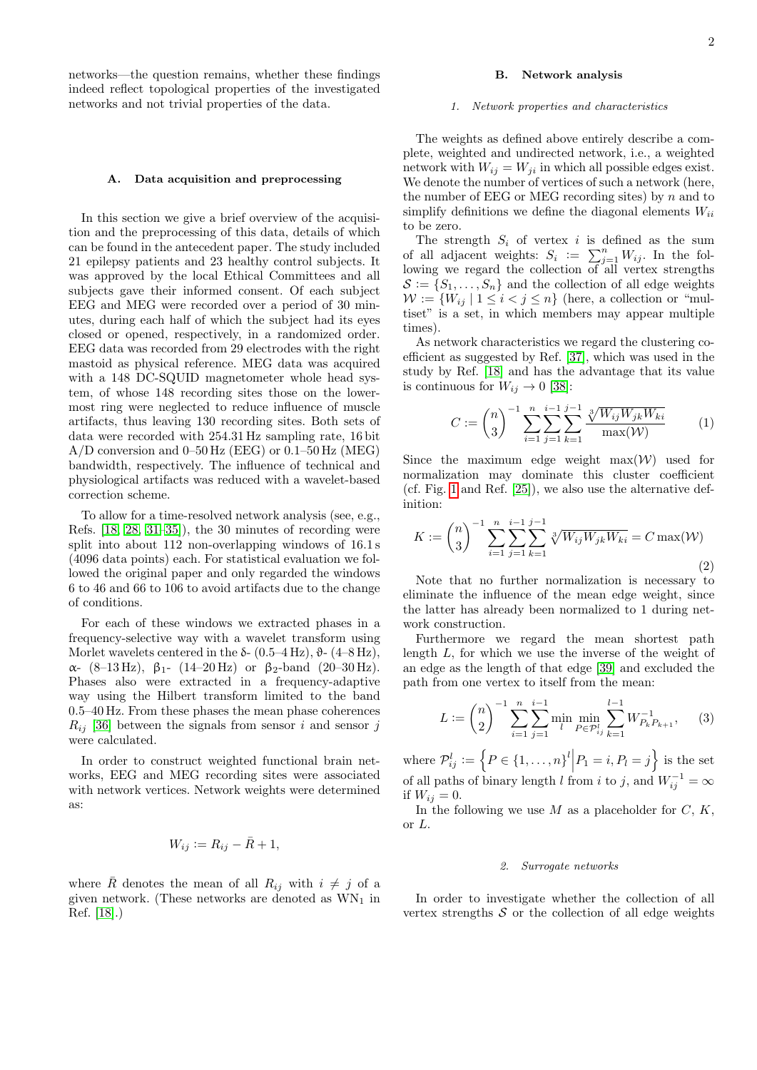networks—the question remains, whether these findings indeed reflect topological properties of the investigated networks and not trivial properties of the data.

#### A. Data acquisition and preprocessing

In this section we give a brief overview of the acquisition and the preprocessing of this data, details of which can be found in the antecedent paper. The study included 21 epilepsy patients and 23 healthy control subjects. It was approved by the local Ethical Committees and all subjects gave their informed consent. Of each subject EEG and MEG were recorded over a period of 30 minutes, during each half of which the subject had its eyes closed or opened, respectively, in a randomized order. EEG data was recorded from 29 electrodes with the right mastoid as physical reference. MEG data was acquired with a 148 DC-SQUID magnetometer whole head system, of whose 148 recording sites those on the lowermost ring were neglected to reduce influence of muscle artifacts, thus leaving 130 recording sites. Both sets of data were recorded with 254.31 Hz sampling rate, 16 bit A/D conversion and 0–50 Hz (EEG) or 0.1–50 Hz (MEG) bandwidth, respectively. The influence of technical and physiological artifacts was reduced with a wavelet-based correction scheme.

To allow for a time-resolved network analysis (see, e.g., Refs. [\[18,](#page-7-4) [28,](#page-7-12) [31](#page-7-15)[–35\]](#page-7-16)), the 30 minutes of recording were split into about 112 non-overlapping windows of 16.1 s (4096 data points) each. For statistical evaluation we followed the original paper and only regarded the windows 6 to 46 and 66 to 106 to avoid artifacts due to the change of conditions.

For each of these windows we extracted phases in a frequency-selective way with a wavelet transform using Morlet wavelets centered in the  $\delta$ - (0.5–4 Hz),  $\theta$ - (4–8 Hz), α- (8–13 Hz),  $β_1$ - (14–20 Hz) or  $β_2$ -band (20–30 Hz). Phases also were extracted in a frequency-adaptive way using the Hilbert transform limited to the band 0.5–40 Hz. From these phases the mean phase coherences  $R_{ij}$  [\[36\]](#page-7-17) between the signals from sensor i and sensor j were calculated.

In order to construct weighted functional brain networks, EEG and MEG recording sites were associated with network vertices. Network weights were determined as:

$$
W_{ij} := R_{ij} - \bar{R} + 1,
$$

where  $\bar{R}$  denotes the mean of all  $R_{ij}$  with  $i \neq j$  of a given network. (These networks are denoted as  $WN_1$  in Ref. [\[18\]](#page-7-4).)

# B. Network analysis

#### 1. Network properties and characteristics

The weights as defined above entirely describe a complete, weighted and undirected network, i.e., a weighted network with  $W_{ij} = W_{ji}$  in which all possible edges exist. We denote the number of vertices of such a network (here, the number of EEG or MEG recording sites) by  $n$  and to simplify definitions we define the diagonal elements  $W_{ii}$ to be zero.

The strength  $S_i$  of vertex i is defined as the sum of all adjacent weights:  $S_i := \sum_{j=1}^n W_{ij}$ . In the following we regard the collection of all vertex strengths  $\mathcal{S} := \{S_1, \ldots, S_n\}$  and the collection of all edge weights  $W := \{W_{ij} \mid 1 \leq i < j \leq n\}$  (here, a collection or "multiset" is a set, in which members may appear multiple times).

As network characteristics we regard the clustering coefficient as suggested by Ref. [\[37\]](#page-7-18), which was used in the study by Ref. [\[18\]](#page-7-4) and has the advantage that its value is continuous for  $W_{ij} \rightarrow 0$  [\[38\]](#page-7-19):

<span id="page-1-0"></span>
$$
C := \binom{n}{3}^{-1} \sum_{i=1}^{n} \sum_{j=1}^{i-1} \sum_{k=1}^{j-1} \frac{\sqrt[3]{W_{ij}W_{jk}W_{ki}}}{\max(\mathcal{W})}
$$
 (1)

Since the maximum edge weight  $\max(\mathcal{W})$  used for normalization may dominate this cluster coefficient (cf. Fig. [1](#page-2-0) and Ref. [\[25\]](#page-7-8)), we also use the alternative definition:

$$
K := \binom{n}{3}^{-1} \sum_{i=1}^{n} \sum_{j=1}^{i-1} \sum_{k=1}^{j-1} \sqrt[3]{W_{ij} W_{jk} W_{ki}} = C \max(\mathcal{W})
$$
\n(2)

Note that no further normalization is necessary to eliminate the influence of the mean edge weight, since the latter has already been normalized to 1 during network construction.

Furthermore we regard the mean shortest path length L, for which we use the inverse of the weight of an edge as the length of that edge [\[39\]](#page-7-20) and excluded the path from one vertex to itself from the mean:

$$
L := \binom{n}{2}^{-1} \sum_{i=1}^{n} \sum_{j=1}^{i-1} \min_{l} \min_{P \in \mathcal{P}_{ij}^l} \sum_{k=1}^{l-1} W_{P_k P_{k+1}}^{-1}, \qquad (3)
$$

where  $\mathcal{P}_{ij}^l := \left\{ P \in \{1, \ldots, n\}^l \middle| P_1 = i, P_l = j \right\}$  is the set of all paths of binary length l from i to j, and  $W_{ij}^{-1} = \infty$ if  $W_{ij} = 0$ .

In the following we use  $M$  as a placeholder for  $C, K$ , or L.

#### <span id="page-1-1"></span>2. Surrogate networks

In order to investigate whether the collection of all vertex strengths  $\mathcal S$  or the collection of all edge weights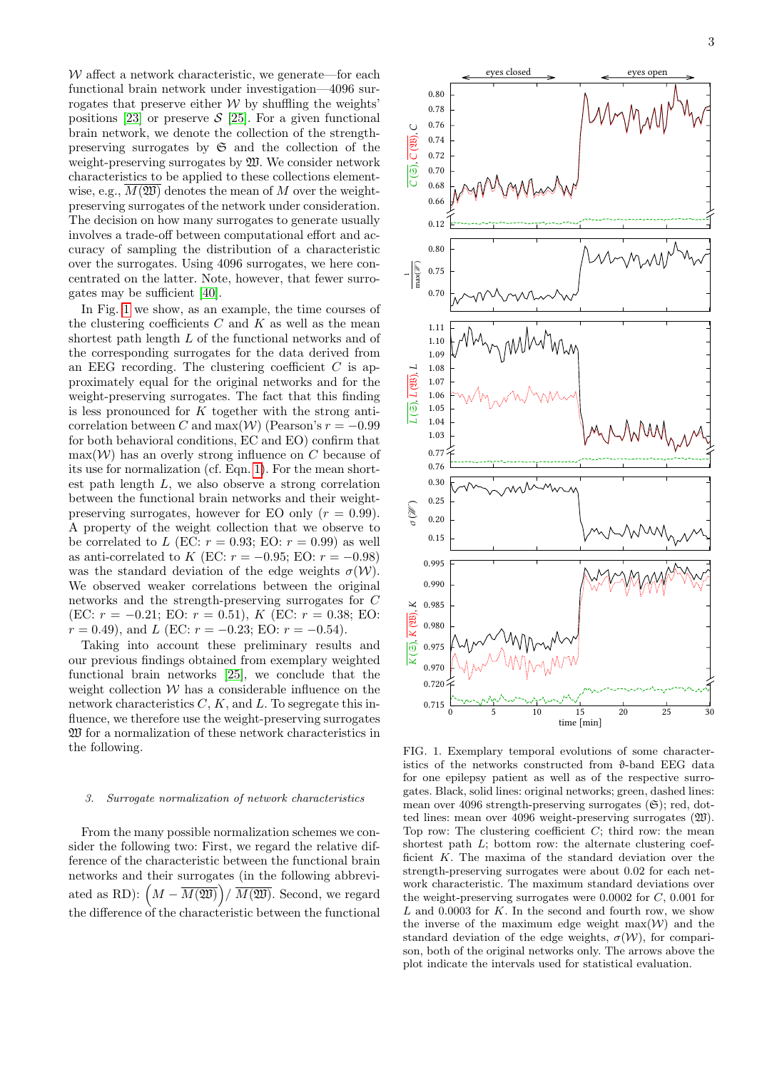$W$  affect a network characteristic, we generate—for each functional brain network under investigation—4096 surrogates that preserve either  $W$  by shuffling the weights' positions [\[23\]](#page-7-7) or preserve  $S$  [\[25\]](#page-7-8). For a given functional brain network, we denote the collection of the strengthpreserving surrogates by  $\mathfrak S$  and the collection of the weight-preserving surrogates by W. We consider network characteristics to be applied to these collections elementwise, e.g.,  $M(\mathfrak{W})$  denotes the mean of M over the weightpreserving surrogates of the network under consideration. The decision on how many surrogates to generate usually involves a trade-off between computational effort and accuracy of sampling the distribution of a characteristic over the surrogates. Using 4096 surrogates, we here concentrated on the latter. Note, however, that fewer surrogates may be sufficient [\[40\]](#page-7-21).

In Fig. [1](#page-2-0) we show, as an example, the time courses of the clustering coefficients  $C$  and  $K$  as well as the mean shortest path length  $L$  of the functional networks and of the corresponding surrogates for the data derived from an EEG recording. The clustering coefficient  $C$  is approximately equal for the original networks and for the weight-preserving surrogates. The fact that this finding is less pronounced for  $K$  together with the strong anticorrelation between C and max $(\mathcal{W})$  (Pearson's  $r = -0.99$ ) for both behavioral conditions, EC and EO) confirm that  $\max(W)$  has an overly strong influence on C because of its use for normalization (cf. Eqn. [1\)](#page-1-0). For the mean shortest path length L, we also observe a strong correlation between the functional brain networks and their weightpreserving surrogates, however for EO only  $(r = 0.99)$ . A property of the weight collection that we observe to be correlated to L (EC:  $r = 0.93$ ; EO:  $r = 0.99$ ) as well as anti-correlated to K (EC:  $r = -0.95$ ; EO:  $r = -0.98$ ) was the standard deviation of the edge weights  $\sigma(\mathcal{W})$ . We observed weaker correlations between the original networks and the strength-preserving surrogates for C (EC:  $r = -0.21$ ; EO:  $r = 0.51$ ), K (EC:  $r = 0.38$ ; EO:  $r = 0.49$ , and L (EC:  $r = -0.23$ ; EO:  $r = -0.54$ ).

Taking into account these preliminary results and our previous findings obtained from exemplary weighted functional brain networks [\[25\]](#page-7-8), we conclude that the weight collection  $W$  has a considerable influence on the network characteristics  $C, K$ , and  $L$ . To segregate this influence, we therefore use the weight-preserving surrogates W for a normalization of these network characteristics in the following.

#### 3. Surrogate normalization of network characteristics

From the many possible normalization schemes we consider the following two: First, we regard the relative difference of the characteristic between the functional brain networks and their surrogates (in the following abbreviated as RD):  $\left(M - \overline{M(\mathfrak{W})}\right)/\overline{M(\mathfrak{W})}$ . Second, we regard the difference of the characteristic between the functional





<span id="page-2-0"></span>FIG. 1. Exemplary temporal evolutions of some characteristics of the networks constructed from  $\vartheta$ -band EEG data for one epilepsy patient as well as of the respective surrogates. Black, solid lines: original networks; green, dashed lines: mean over 4096 strength-preserving surrogates  $(\mathfrak{S})$ ; red, dotted lines: mean over 4096 weight-preserving surrogates (W). Top row: The clustering coefficient  $C$ ; third row: the mean shortest path  $L$ ; bottom row: the alternate clustering coefficient  $K$ . The maxima of the standard deviation over the strength-preserving surrogates were about 0.02 for each network characteristic. The maximum standard deviations over the weight-preserving surrogates were  $0.0002$  for  $C$ ,  $0.001$  for  $L$  and 0.0003 for  $K$ . In the second and fourth row, we show the inverse of the maximum edge weight  $\max(\mathcal{W})$  and the standard deviation of the edge weights,  $\sigma(\mathcal{W})$ , for comparison, both of the original networks only. The arrows above the plot indicate the intervals used for statistical evaluation.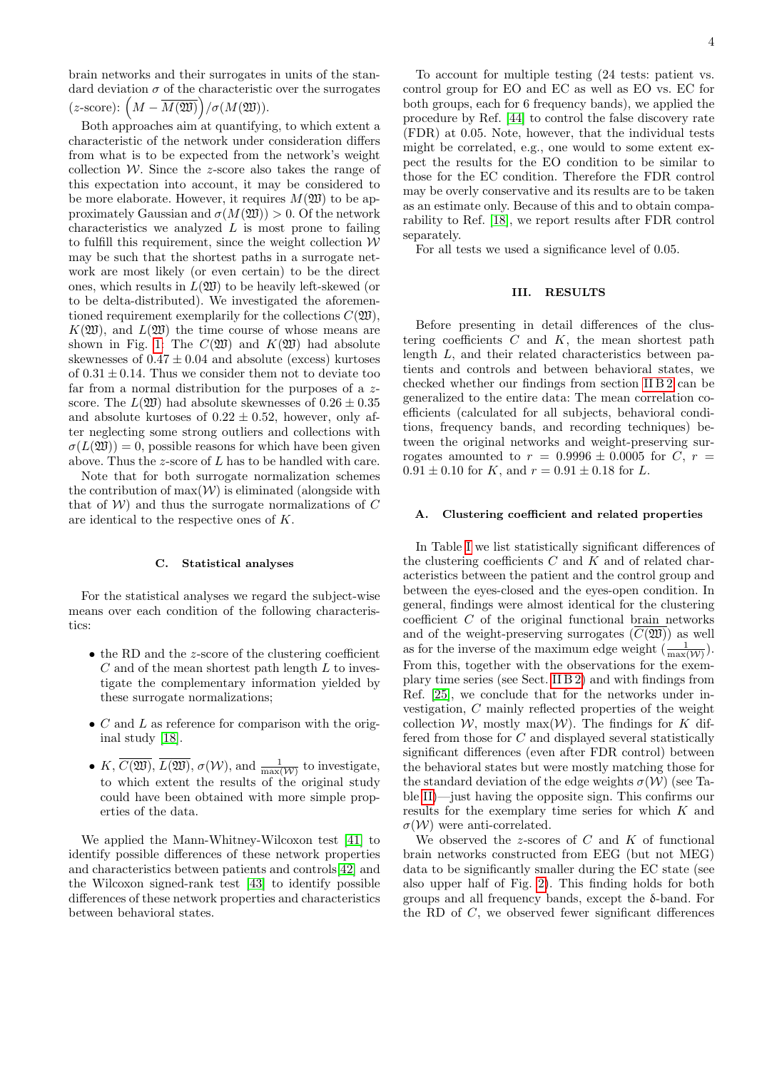brain networks and their surrogates in units of the standard deviation  $\sigma$  of the characteristic over the surrogates  $(z\text{-score})$ :  $\left(M - \overline{M(\mathfrak{W})}\right)/\sigma(M(\mathfrak{W}))$ .

Both approaches aim at quantifying, to which extent a characteristic of the network under consideration differs from what is to be expected from the network's weight collection  $W$ . Since the z-score also takes the range of this expectation into account, it may be considered to be more elaborate. However, it requires  $M(\mathfrak{W})$  to be approximately Gaussian and  $\sigma(M(\mathfrak{W})) > 0$ . Of the network characteristics we analyzed  $L$  is most prone to failing to fulfill this requirement, since the weight collection W may be such that the shortest paths in a surrogate network are most likely (or even certain) to be the direct ones, which results in  $L(\mathfrak{W})$  to be heavily left-skewed (or to be delta-distributed). We investigated the aforementioned requirement exemplarily for the collections  $C(\mathfrak{W}),$  $K(\mathfrak{W})$ , and  $L(\mathfrak{W})$  the time course of whose means are shown in Fig. [1:](#page-2-0) The  $C(\mathfrak{W})$  and  $K(\mathfrak{W})$  had absolute skewnesses of  $0.47 \pm 0.04$  and absolute (excess) kurtoses of  $0.31 \pm 0.14$ . Thus we consider them not to deviate too far from a normal distribution for the purposes of a  $z$ score. The  $L(\mathfrak{W})$  had absolute skewnesses of  $0.26 \pm 0.35$ and absolute kurtoses of  $0.22 \pm 0.52$ , however, only after neglecting some strong outliers and collections with  $\sigma(L(\mathfrak{W})) = 0$ , possible reasons for which have been given above. Thus the z-score of L has to be handled with care.

Note that for both surrogate normalization schemes the contribution of  $max(W)$  is eliminated (alongside with that of  $W$ ) and thus the surrogate normalizations of  $C$ are identical to the respective ones of K.

# C. Statistical analyses

For the statistical analyses we regard the subject-wise means over each condition of the following characteristics:

- the RD and the *z*-score of the clustering coefficient  $C$  and of the mean shortest path length  $L$  to investigate the complementary information yielded by these surrogate normalizations;
- $\bullet$  C and L as reference for comparison with the original study [\[18\]](#page-7-4).
- K,  $\overline{C(\mathfrak{W})}, \overline{L(\mathfrak{W})}, \sigma(W)$ , and  $\frac{1}{\max(W)}$  to investigate, to which extent the results of the original study could have been obtained with more simple properties of the data.

We applied the Mann-Whitney-Wilcoxon test [\[41\]](#page-7-22) to identify possible differences of these network properties and characteristics between patients and controls[\[42\]](#page-7-23) and the Wilcoxon signed-rank test [\[43\]](#page-7-24) to identify possible differences of these network properties and characteristics between behavioral states.

To account for multiple testing (24 tests: patient vs. control group for EO and EC as well as EO vs. EC for both groups, each for 6 frequency bands), we applied the procedure by Ref. [\[44\]](#page-7-25) to control the false discovery rate (FDR) at 0.05. Note, however, that the individual tests might be correlated, e.g., one would to some extent expect the results for the EO condition to be similar to those for the EC condition. Therefore the FDR control may be overly conservative and its results are to be taken as an estimate only. Because of this and to obtain comparability to Ref. [\[18\]](#page-7-4), we report results after FDR control separately.

For all tests we used a significance level of 0.05.

## III. RESULTS

Before presenting in detail differences of the clustering coefficients  $C$  and  $K$ , the mean shortest path length L, and their related characteristics between patients and controls and between behavioral states, we checked whether our findings from section [II B 2](#page-1-1) can be generalized to the entire data: The mean correlation coefficients (calculated for all subjects, behavioral conditions, frequency bands, and recording techniques) between the original networks and weight-preserving surrogates amounted to  $r = 0.9996 \pm 0.0005$  for  $C, r =$  $0.91 \pm 0.10$  for K, and  $r = 0.91 \pm 0.18$  for L.

# A. Clustering coefficient and related properties

In Table [I](#page-4-0) we list statistically significant differences of the clustering coefficients  $C$  and  $K$  and of related characteristics between the patient and the control group and between the eyes-closed and the eyes-open condition. In general, findings were almost identical for the clustering coefficient C of the original functional brain networks and of the weight-preserving surrogates  $(C(\mathfrak{W}))$  as well as for the inverse of the maximum edge weight  $\left(\frac{1}{\max(W)}\right)$ . From this, together with the observations for the exemplary time series (see Sect. [II B 2\)](#page-1-1) and with findings from Ref. [\[25\]](#page-7-8), we conclude that for the networks under investigation, C mainly reflected properties of the weight collection W, mostly max $(W)$ . The findings for K differed from those for C and displayed several statistically significant differences (even after FDR control) between the behavioral states but were mostly matching those for the standard deviation of the edge weights  $\sigma(\mathcal{W})$  (see Table [II\)](#page-4-1)—just having the opposite sign. This confirms our results for the exemplary time series for which  $K$  and  $\sigma(\mathcal{W})$  were anti-correlated.

We observed the  $z$ -scores of  $C$  and  $K$  of functional brain networks constructed from EEG (but not MEG) data to be significantly smaller during the EC state (see also upper half of Fig. [2\)](#page-6-0). This finding holds for both groups and all frequency bands, except the δ-band. For the RD of C, we observed fewer significant differences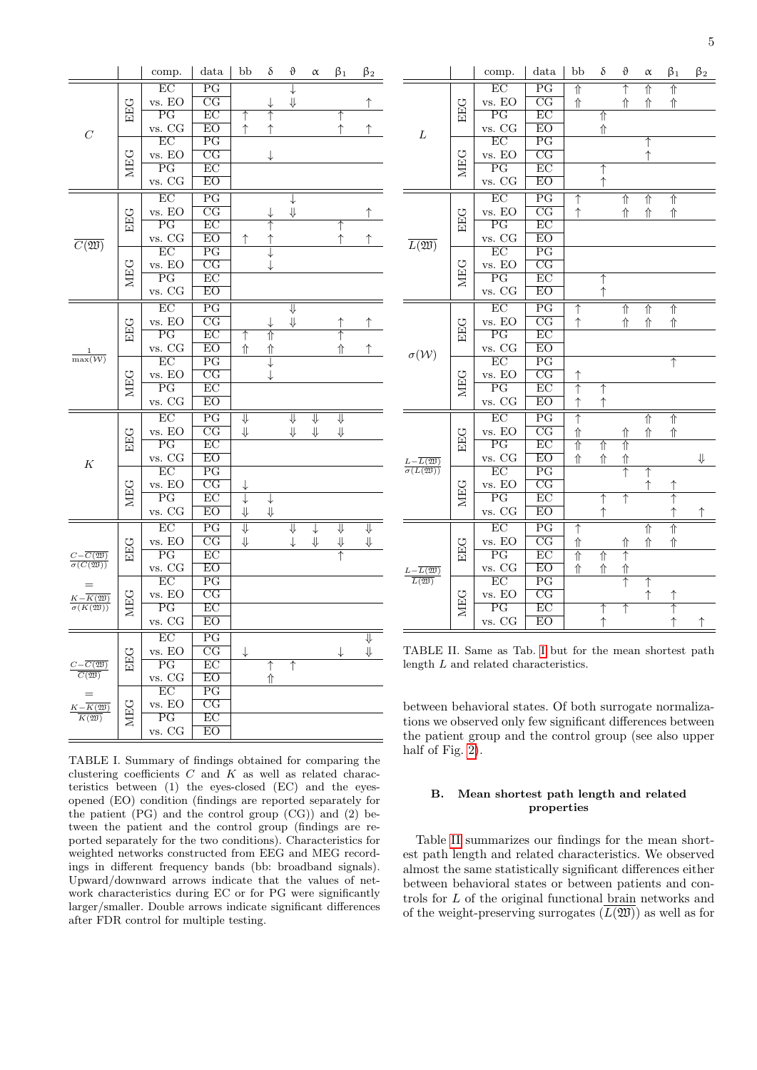|                                                                        |            | comp.           | data                                      | bb                    | δ                     | $\vartheta$           | $\alpha$ | $\beta_1$             | $\beta_2$  |
|------------------------------------------------------------------------|------------|-----------------|-------------------------------------------|-----------------------|-----------------------|-----------------------|----------|-----------------------|------------|
| $\cal C$                                                               | EEG        | $\overline{EC}$ | $\overline{PG}$                           |                       |                       | ↓                     |          |                       |            |
|                                                                        |            | vs. EO          | $\overline{\text{CG}}$                    |                       | $\frac{1}{\uparrow}$  | ⇓                     |          |                       | ↑          |
|                                                                        |            | PG              | EC                                        | $\overline{\uparrow}$ |                       |                       |          | $\overline{\uparrow}$ |            |
|                                                                        |            | vs. CG          | $E_{\rm O}$                               | $\uparrow$            | ↑                     |                       |          | $\uparrow$            | ↑          |
|                                                                        | <b>MEG</b> | EC              | PG                                        |                       |                       |                       |          |                       |            |
|                                                                        |            | vs. EO          | $_{\rm CG}$                               |                       | ↓                     |                       |          |                       |            |
|                                                                        |            | $\overline{PG}$ | $\overline{EC}$                           |                       |                       |                       |          |                       |            |
|                                                                        |            | vs. CG          | $_{\rm EO}$                               |                       |                       |                       |          |                       |            |
| $\overline{C(\mathfrak{W})}$                                           | EEG        | $\overline{EC}$ | $\overline{PG}$                           |                       |                       | ↓                     |          |                       |            |
|                                                                        |            | vs. EO          | $_{\rm CG}$                               |                       | $rac{1}{\uparrow}$    | ⇓                     |          |                       | ↑          |
|                                                                        |            | $\overline{PG}$ | EC                                        |                       |                       |                       |          | ↑                     |            |
|                                                                        |            | vs. CG          | $_{\rm EO}$                               | $\uparrow$            | $\uparrow$            |                       |          | $\uparrow$            | $\uparrow$ |
|                                                                        | MEG        | $\overline{EC}$ | $\overline{PG}$                           |                       | Į                     |                       |          |                       |            |
|                                                                        |            | vs. EO          | $\overline{\mathrm{CG}}$                  |                       | t                     |                       |          |                       |            |
|                                                                        |            | $\overline{PG}$ | $\overline{EC}$                           |                       |                       |                       |          |                       |            |
|                                                                        |            | vs. CG          | $_{\rm EO}$                               |                       |                       |                       |          |                       |            |
| $\frac{1}{\max(\mathcal{W})}$                                          | EEG        | $\overline{EC}$ | $\overline{PG}$                           |                       |                       | ⇓                     |          |                       |            |
|                                                                        |            | vs. EO          | $\overline{\text{CG}}$                    |                       | →介                    | ⇓                     |          |                       | ↑          |
|                                                                        |            | $\overline{PG}$ | $\overline{EC}$                           | $\overline{\uparrow}$ |                       |                       |          |                       |            |
|                                                                        |            | vs. CG          | $E_O$                                     | ⇑                     | $\frac{1}{2}$         |                       |          | ⇑                     | ↑          |
|                                                                        | MEG        | $\overline{EC}$ | $\overline{PG}$                           |                       |                       |                       |          |                       |            |
|                                                                        |            | vs. EO<br>PG    | $\overline{\text{CG}}$<br>$\overline{EC}$ |                       |                       |                       |          |                       |            |
|                                                                        |            | vs. CG          | EO                                        |                       |                       |                       |          |                       |            |
|                                                                        |            |                 |                                           |                       |                       |                       |          |                       |            |
| $\cal K$                                                               | EEG        | $\overline{EC}$ | $\overline{PG}$                           | ⇓                     |                       | ⇓                     | ⇓        | ⇓                     |            |
|                                                                        |            | vs. EO<br>PG    | $\overline{\text{CG}}$                    | ⇓                     |                       | ⇓                     | ⇓        | ⇓                     |            |
|                                                                        |            | vs. CG          | $\overline{EC}$<br>EO                     |                       |                       |                       |          |                       |            |
|                                                                        |            | $\overline{EC}$ | PG                                        |                       |                       |                       |          |                       |            |
|                                                                        | MEG        | vs. EO          | $_{\rm CG}$                               |                       |                       |                       |          |                       |            |
|                                                                        |            | $\overline{PG}$ | $_{\rm EC}$                               | $\frac{1}{\sqrt{2}}$  |                       |                       |          |                       |            |
|                                                                        |            | vs. CG          | $_{\rm EO}$                               | $\Downarrow$          | $\Downarrow$          |                       |          |                       |            |
|                                                                        |            | $\overline{EC}$ | $_{\rm PG}$                               | ⇓                     |                       | ⇓                     | ↓        | ⇓                     | ⇓          |
| $C-\overline{C(\mathfrak{W})}$<br>$\overline{\sigma(C(\mathfrak{W}))}$ | EEG        | vs. EO          | $\overline{\text{CG}}$                    | ⇓                     |                       |                       | ⇓        |                       | ⇓          |
|                                                                        |            | $_{\rm PG}$     | EC                                        |                       |                       |                       |          | $\frac{1}{\uparrow}$  |            |
|                                                                        |            | vs. CG          | $E_{\rm O}$                               |                       |                       |                       |          |                       |            |
|                                                                        |            | $\overline{EC}$ | $\overline{PG}$                           |                       |                       |                       |          |                       |            |
| $K-\overline{K(\mathfrak{W})}$<br>$\sigma(K(\mathfrak{W}))$            | <b>MEG</b> | vs. EO          | $\overline{\text{CG}}$                    |                       |                       |                       |          |                       |            |
|                                                                        |            | $\overline{PG}$ | $\overline{EC}$                           |                       |                       |                       |          |                       |            |
|                                                                        |            | vs. CG          | $_{\rm EO}$                               |                       |                       |                       |          |                       |            |
|                                                                        |            | $\overline{EC}$ | $\overline{PG}$                           |                       |                       |                       |          |                       | ⇓          |
| $C-\overline{C(\mathfrak{W})}$<br>$\overline{C(\mathfrak{W})}$         | EEG        | vs. EO          | $\overline{\text{CG}}$                    | ↓                     |                       |                       |          |                       | ⇓          |
|                                                                        |            | $\overline{PG}$ | $_{\rm EC}$                               |                       | $\overline{\uparrow}$ | $\overline{\uparrow}$ |          |                       |            |
|                                                                        |            | vs. CG          | $_{\rm EO}$                               |                       | $\Uparrow$            |                       |          |                       |            |
| $-K(\mathfrak{W})$<br>$\overline{K(\mathfrak{W})}$                     | MEG        | $\overline{EC}$ | $\overline{\mathrm{PG}}$                  |                       |                       |                       |          |                       |            |
|                                                                        |            | vs. EO          | $\overline{\text{CG}}$                    |                       |                       |                       |          |                       |            |
|                                                                        |            | $\overline{PG}$ | $\overline{\mathrm{EC}}$                  |                       |                       |                       |          |                       |            |
|                                                                        |            | vs. CG          | $_{\rm EO}$                               |                       |                       |                       |          |                       |            |

comp. | data | bb δ θ α β<sub>1</sub> β<sub>2</sub> L EEG  $EC \parallel PG \parallel \Uparrow \qquad \uparrow \quad \Uparrow \quad \Uparrow$ vs. EO  $CG \tuparrow \tuparrow \tuparrow \tuparrow \tuparrow$  $PG$  EC  $\uparrow$ vs. CG  $\boxed{EO}$   $\uparrow$ MEG  $EC$   $P$ G vs. EO  $\boxed{\text{CG}}$ PG EC vs. CG  $\boxed{EO}$  ↑  $\overline{L(\mathfrak{W})}$ EEG  $EC \mid PG \mid \uparrow \quad \Uparrow \quad \Uparrow \quad \Uparrow$ vs. EO CG ↑ ↑ ↑ ↑ PG EC vs. CG  $\boxed{EO}$ MEG EC PG vs. EO  $\boxed{\text{CG}}$  $PG$  EC vs. CG  $\boxed{EO}$  ↑  $\sigma(\mathcal{W})$ EEG  $EC \mid PG \mid \uparrow \quad \Uparrow \quad \Uparrow \quad \Uparrow$ vs. EO CG ↑ ↑ ↑ ↑ PG EC vs. CG EO MEG  $EC \parallel PG \parallel$ vs. EO  $\boxed{\text{CG}}$  $PG \tcdot \tEC$ vs. CG  $\boxed{E0}$  $\frac{L-L(\mathfrak{W})}{\sigma(L(\mathfrak{W}))}$ EEG  $EC \mid PG \mid \uparrow$   $\uparrow$   $\uparrow$   $\uparrow$ vs. EO  $CG \tuparrow \tuparrow \tuparrow \tuparrow \tuparrow$  $PG$   $EC$   $\uparrow$   $\uparrow$   $\uparrow$   $\uparrow$ vs. CG │ EO │ ↑ ↑ ↑ ↓ MEG  $EC \mid PG \mid \qquad \uparrow \uparrow$ vs. EO  $\boxed{CG}$  $PG \mid EC \mid \uparrow \uparrow \uparrow \uparrow \uparrow$ vs. CG  $\boxed{E0}$  $L-L(\mathfrak{W})$  $L(\mathfrak{W})$ EEG  $EC \mid PG \mid \uparrow$   $\uparrow$   $\uparrow$   $\uparrow$ vs. EO  $CG \quad \Uparrow$   $\Uparrow$   $\Uparrow$   $\Uparrow$   $\Uparrow$  $PG$  EC  $\uparrow \uparrow \uparrow \uparrow$ vs. CG **EO** 介 介 介 MEG  $EC$   $PG$ vs. EO CG ↑ ↑  $PG \mid EC \mid \uparrow \uparrow \uparrow \uparrow \uparrow$ 

TABLE II. Same as Tab. [I](#page-4-0) but for the mean shortest path length L and related characteristics.

<span id="page-4-1"></span>vs. CG  $\boxed{EO}$   $\uparrow$   $\uparrow$ 

between behavioral states. Of both surrogate normalizations we observed only few significant differences between the patient group and the control group (see also upper half of Fig. [2\)](#page-6-0).

# B. Mean shortest path length and related properties

Table [II](#page-4-1) summarizes our findings for the mean shortest path length and related characteristics. We observed almost the same statistically significant differences either between behavioral states or between patients and controls for L of the original functional brain networks and of the weight-preserving surrogates  $(L(\mathfrak{W}))$  as well as for

clustering coefficients C and K as well as related characteristics between (1) the eyes-closed (EC) and the eyesopened (EO) condition (findings are reported separately for the patient  $(PG)$  and the control group  $(CG)$  and  $(2)$  between the patient and the control group (findings are reported separately for the two conditions). Characteristics for weighted networks constructed from EEG and MEG recordings in different frequency bands (bb: broadband signals). Upward/downward arrows indicate that the values of network characteristics during EC or for PG were significantly larger/smaller. Double arrows indicate significant differences after FDR control for multiple testing.

<span id="page-4-0"></span>TABLE I. Summary of findings obtained for comparing the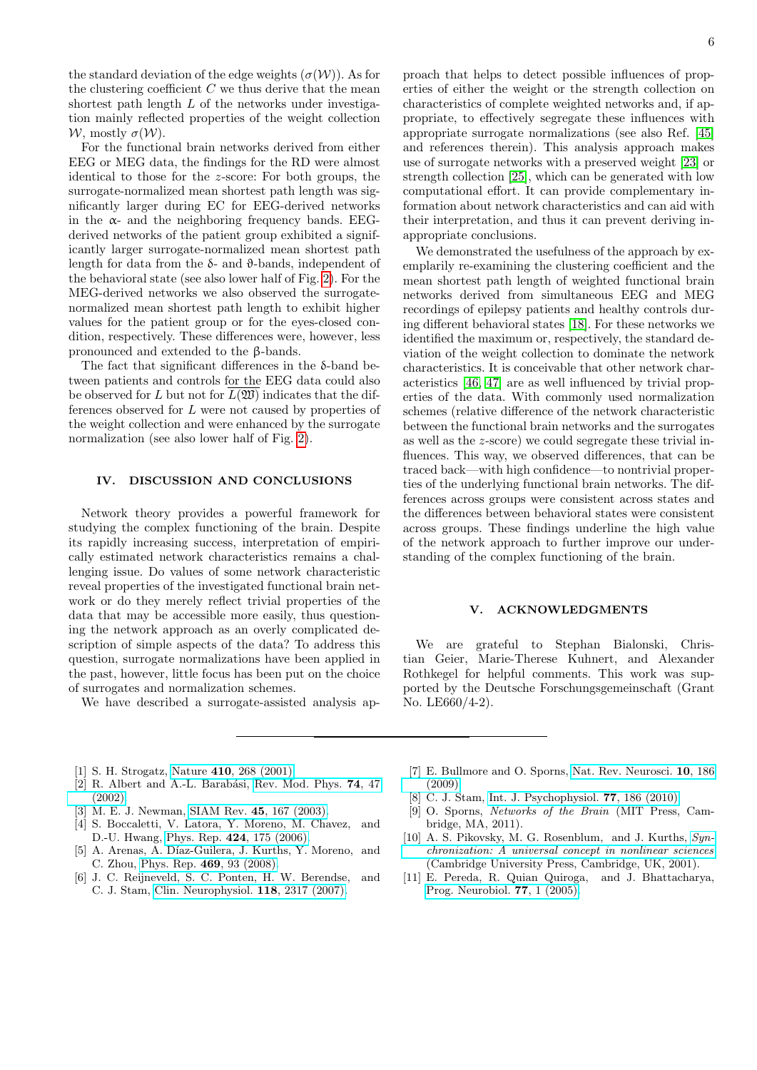the standard deviation of the edge weights  $(\sigma(W))$ . As for the clustering coefficient  $C$  we thus derive that the mean shortest path length  $L$  of the networks under investigation mainly reflected properties of the weight collection W, mostly  $\sigma(W)$ .

For the functional brain networks derived from either EEG or MEG data, the findings for the RD were almost identical to those for the z-score: For both groups, the surrogate-normalized mean shortest path length was significantly larger during EC for EEG-derived networks in the  $\alpha$ - and the neighboring frequency bands. EEGderived networks of the patient group exhibited a significantly larger surrogate-normalized mean shortest path length for data from the δ- and θ-bands, independent of the behavioral state (see also lower half of Fig. [2\)](#page-6-0). For the MEG-derived networks we also observed the surrogatenormalized mean shortest path length to exhibit higher values for the patient group or for the eyes-closed condition, respectively. These differences were, however, less pronounced and extended to the β-bands.

The fact that significant differences in the  $\delta$ -band between patients and controls for the EEG data could also be observed for L but not for  $L(\mathfrak{W})$  indicates that the differences observed for L were not caused by properties of the weight collection and were enhanced by the surrogate normalization (see also lower half of Fig. [2\)](#page-6-0).

# IV. DISCUSSION AND CONCLUSIONS

Network theory provides a powerful framework for studying the complex functioning of the brain. Despite its rapidly increasing success, interpretation of empirically estimated network characteristics remains a challenging issue. Do values of some network characteristic reveal properties of the investigated functional brain network or do they merely reflect trivial properties of the data that may be accessible more easily, thus questioning the network approach as an overly complicated description of simple aspects of the data? To address this question, surrogate normalizations have been applied in the past, however, little focus has been put on the choice of surrogates and normalization schemes.

We have described a surrogate-assisted analysis ap-

proach that helps to detect possible influences of properties of either the weight or the strength collection on characteristics of complete weighted networks and, if appropriate, to effectively segregate these influences with appropriate surrogate normalizations (see also Ref. [\[45\]](#page-7-26) and references therein). This analysis approach makes use of surrogate networks with a preserved weight [\[23\]](#page-7-7) or strength collection [\[25\]](#page-7-8), which can be generated with low computational effort. It can provide complementary information about network characteristics and can aid with their interpretation, and thus it can prevent deriving inappropriate conclusions.

We demonstrated the usefulness of the approach by exemplarily re-examining the clustering coefficient and the mean shortest path length of weighted functional brain networks derived from simultaneous EEG and MEG recordings of epilepsy patients and healthy controls during different behavioral states [\[18\]](#page-7-4). For these networks we identified the maximum or, respectively, the standard deviation of the weight collection to dominate the network characteristics. It is conceivable that other network characteristics [\[46,](#page-7-27) [47\]](#page-7-28) are as well influenced by trivial properties of the data. With commonly used normalization schemes (relative difference of the network characteristic between the functional brain networks and the surrogates as well as the z-score) we could segregate these trivial influences. This way, we observed differences, that can be traced back—with high confidence—to nontrivial properties of the underlying functional brain networks. The differences across groups were consistent across states and the differences between behavioral states were consistent across groups. These findings underline the high value of the network approach to further improve our understanding of the complex functioning of the brain.

### V. ACKNOWLEDGMENTS

We are grateful to Stephan Bialonski, Christian Geier, Marie-Therese Kuhnert, and Alexander Rothkegel for helpful comments. This work was supported by the Deutsche Forschungsgemeinschaft (Grant No. LE660/4-2).

- <span id="page-5-0"></span>[1] S. H. Strogatz, Nature **410**[, 268 \(2001\).](http://dx.doi.org/10.1038/35065725)
- $[2]$  R. Albert and A.-L. Barabási, [Rev. Mod. Phys.](http://dx.doi.org/10.1103/RevModPhys.74.47) 74, 47 [\(2002\).](http://dx.doi.org/10.1103/RevModPhys.74.47)
- [3] M. E. J. Newman, SIAM Rev. 45[, 167 \(2003\).](http://dx.doi.org/10.1137/S003614450342480)
- [4] S. Boccaletti, V. Latora, Y. Moreno, M. Chavez, and D.-U. Hwang, Phys. Rep. 424[, 175 \(2006\).](http://dx.doi.org/ 10.1016/j.physrep.2005.10.009)
- <span id="page-5-1"></span>[5] A. Arenas, A. Díaz-Guilera, J. Kurths, Y. Moreno, and C. Zhou, [Phys. Rep.](http://dx.doi.org/10.1016/j.physrep.2008.09.002) 469, 93 (2008).
- <span id="page-5-2"></span>[6] J. C. Reijneveld, S. C. Ponten, H. W. Berendse, and C. J. Stam, [Clin. Neurophysiol.](http://dx.doi.org/10.1016/j.clinph.2007.08.010) 118, 2317 (2007).
- [7] E. Bullmore and O. Sporns, [Nat. Rev. Neurosci.](http://dx.doi.org/10.1038/nrn2575) 10, 186 [\(2009\).](http://dx.doi.org/10.1038/nrn2575)
- C. J. Stam, [Int. J. Psychophysiol.](http://dx.doi.org/10.1016/j.ijpsycho.2010.06.024) **77**, 186 (2010).
- <span id="page-5-3"></span>[9] O. Sporns, Networks of the Brain (MIT Press, Cambridge, MA, 2011).
- <span id="page-5-4"></span>[10] A. S. Pikovsky, M. G. Rosenblum, and J. Kurths,  $Syn$ [chronization: A universal concept in nonlinear sciences](http://dx.doi.org/10.1017/CBO9780511755743) (Cambridge University Press, Cambridge, UK, 2001).
- [11] E. Pereda, R. Quian Quiroga, and J. Bhattacharya, [Prog. Neurobiol.](http://dx.doi.org/10.1016/j.pneurobio.2005.10.003) 77, 1 (2005).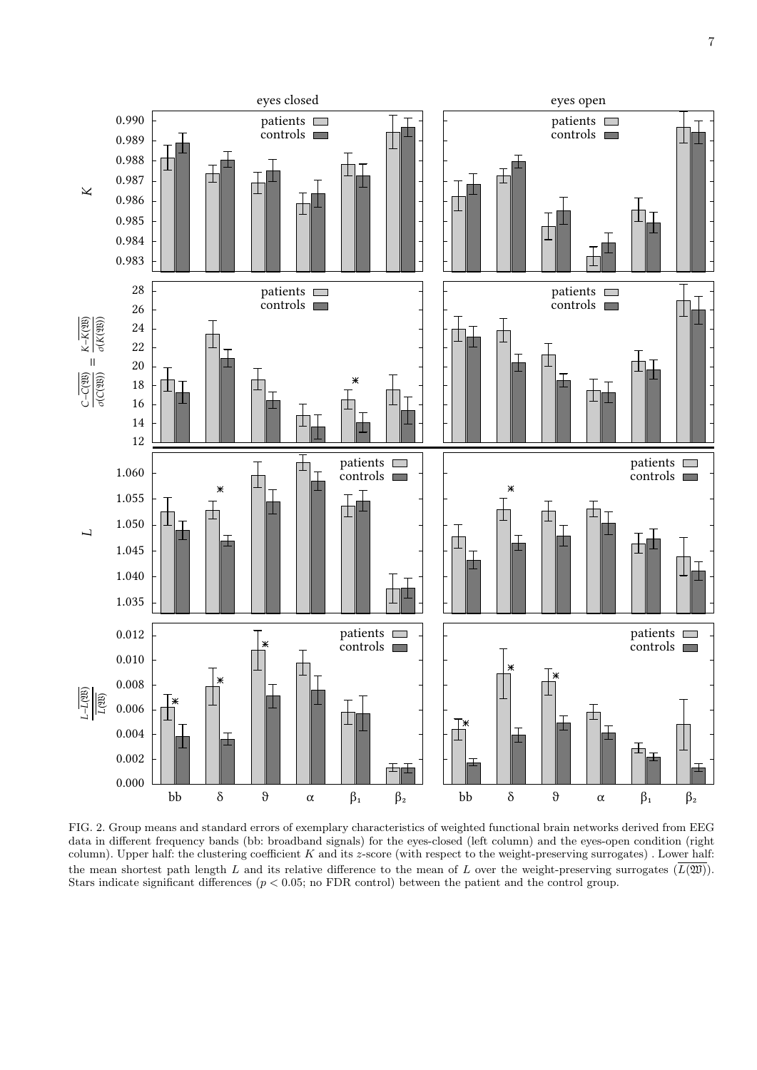

<span id="page-6-0"></span>FIG. 2. Group means and standard errors of exemplary characteristics of weighted functional brain networks derived from EEG data in different frequency bands (bb: broadband signals) for the eyes-closed (left column) and the eyes-open condition (right column). Upper half: the clustering coefficient  $K$  and its  $z$ -score (with respect to the weight-preserving surrogates). Lower half: the mean shortest path length L and its relative difference to the mean of L over the weight-preserving surrogates  $(\overline{L(\mathfrak{W})})$ . Stars indicate significant differences ( $p < 0.05$ ; no FDR control) between the patient and the control group.